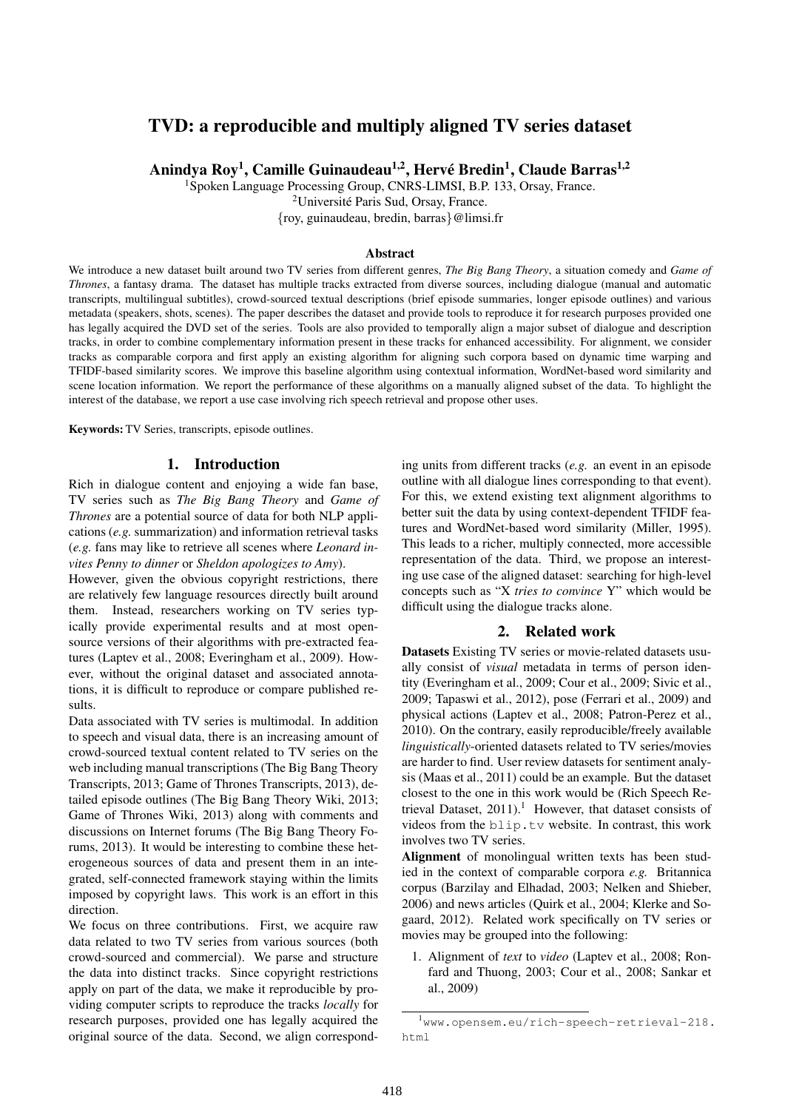# TVD: a reproducible and multiply aligned TV series dataset

Anindya Roy<sup>1</sup>, Camille Guinaudeau<sup>1,2</sup>, Hervé Bredin<sup>1</sup>, Claude Barras<sup>1,2</sup>

<sup>1</sup>Spoken Language Processing Group, CNRS-LIMSI, B.P. 133, Orsay, France.

<sup>2</sup>Université Paris Sud, Orsay, France.

{roy, guinaudeau, bredin, barras}@limsi.fr

### Abstract

We introduce a new dataset built around two TV series from different genres, *The Big Bang Theory*, a situation comedy and *Game of Thrones*, a fantasy drama. The dataset has multiple tracks extracted from diverse sources, including dialogue (manual and automatic transcripts, multilingual subtitles), crowd-sourced textual descriptions (brief episode summaries, longer episode outlines) and various metadata (speakers, shots, scenes). The paper describes the dataset and provide tools to reproduce it for research purposes provided one has legally acquired the DVD set of the series. Tools are also provided to temporally align a major subset of dialogue and description tracks, in order to combine complementary information present in these tracks for enhanced accessibility. For alignment, we consider tracks as comparable corpora and first apply an existing algorithm for aligning such corpora based on dynamic time warping and TFIDF-based similarity scores. We improve this baseline algorithm using contextual information, WordNet-based word similarity and scene location information. We report the performance of these algorithms on a manually aligned subset of the data. To highlight the interest of the database, we report a use case involving rich speech retrieval and propose other uses.

Keywords: TV Series, transcripts, episode outlines.

## 1. Introduction

Rich in dialogue content and enjoying a wide fan base, TV series such as *The Big Bang Theory* and *Game of Thrones* are a potential source of data for both NLP applications (*e.g.* summarization) and information retrieval tasks (*e.g.* fans may like to retrieve all scenes where *Leonard invites Penny to dinner* or *Sheldon apologizes to Amy*).

However, given the obvious copyright restrictions, there are relatively few language resources directly built around them. Instead, researchers working on TV series typically provide experimental results and at most opensource versions of their algorithms with pre-extracted features (Laptev et al., 2008; Everingham et al., 2009). However, without the original dataset and associated annotations, it is difficult to reproduce or compare published results.

Data associated with TV series is multimodal. In addition to speech and visual data, there is an increasing amount of crowd-sourced textual content related to TV series on the web including manual transcriptions (The Big Bang Theory Transcripts, 2013; Game of Thrones Transcripts, 2013), detailed episode outlines (The Big Bang Theory Wiki, 2013; Game of Thrones Wiki, 2013) along with comments and discussions on Internet forums (The Big Bang Theory Forums, 2013). It would be interesting to combine these heterogeneous sources of data and present them in an integrated, self-connected framework staying within the limits imposed by copyright laws. This work is an effort in this direction.

We focus on three contributions. First, we acquire raw data related to two TV series from various sources (both crowd-sourced and commercial). We parse and structure the data into distinct tracks. Since copyright restrictions apply on part of the data, we make it reproducible by providing computer scripts to reproduce the tracks *locally* for research purposes, provided one has legally acquired the original source of the data. Second, we align corresponding units from different tracks (*e.g.* an event in an episode outline with all dialogue lines corresponding to that event). For this, we extend existing text alignment algorithms to better suit the data by using context-dependent TFIDF features and WordNet-based word similarity (Miller, 1995). This leads to a richer, multiply connected, more accessible representation of the data. Third, we propose an interesting use case of the aligned dataset: searching for high-level concepts such as "X *tries to convince* Y" which would be difficult using the dialogue tracks alone.

## 2. Related work

Datasets Existing TV series or movie-related datasets usually consist of *visual* metadata in terms of person identity (Everingham et al., 2009; Cour et al., 2009; Sivic et al., 2009; Tapaswi et al., 2012), pose (Ferrari et al., 2009) and physical actions (Laptev et al., 2008; Patron-Perez et al., 2010). On the contrary, easily reproducible/freely available *linguistically*-oriented datasets related to TV series/movies are harder to find. User review datasets for sentiment analysis (Maas et al., 2011) could be an example. But the dataset closest to the one in this work would be (Rich Speech Retrieval Dataset,  $2011$ ).<sup>1</sup> However, that dataset consists of videos from the blip.tv website. In contrast, this work involves two TV series.

Alignment of monolingual written texts has been studied in the context of comparable corpora *e.g.* Britannica corpus (Barzilay and Elhadad, 2003; Nelken and Shieber, 2006) and news articles (Quirk et al., 2004; Klerke and Sogaard, 2012). Related work specifically on TV series or movies may be grouped into the following:

1. Alignment of *text* to *video* (Laptev et al., 2008; Ronfard and Thuong, 2003; Cour et al., 2008; Sankar et al., 2009)

<sup>1</sup>www.opensem.eu/rich-speech-retrieval-218. html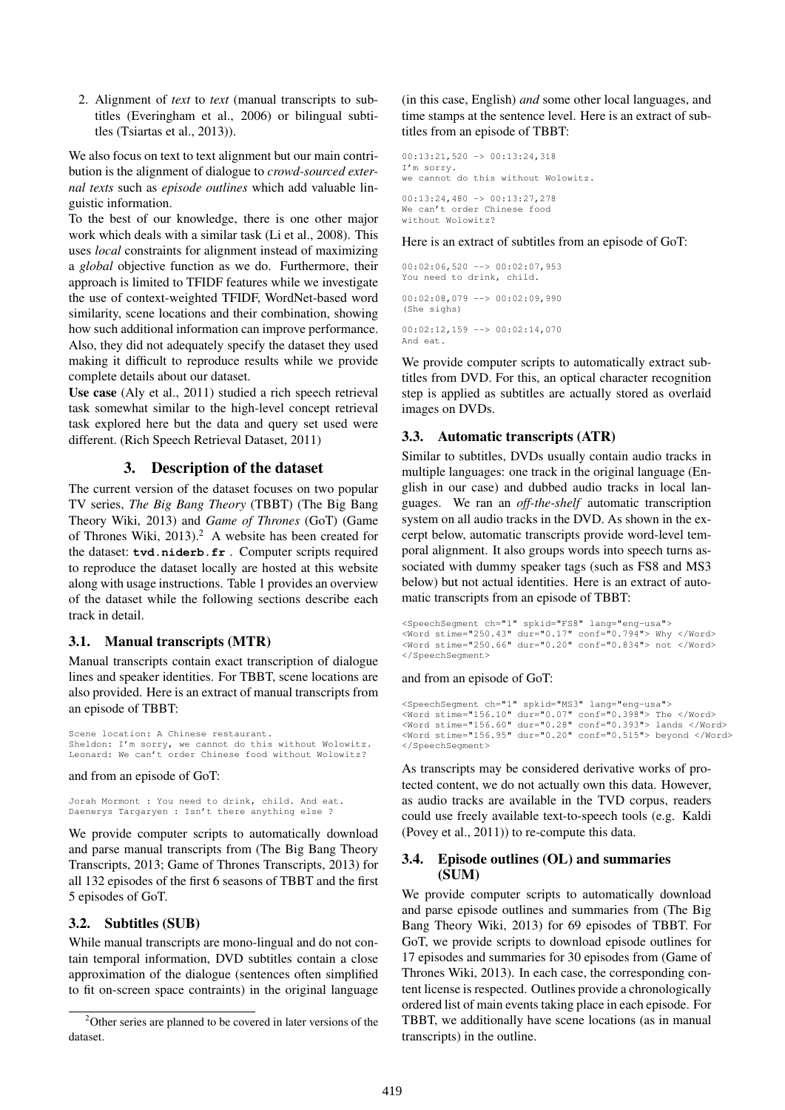2. Alignment of *text* to *text* (manual transcripts to subtitles (Everingham et al., 2006) or bilingual subtitles (Tsiartas et al., 2013)).

We also focus on text to text alignment but our main contribution is the alignment of dialogue to *crowd-sourced external texts* such as *episode outlines* which add valuable linguistic information.

To the best of our knowledge, there is one other major work which deals with a similar task (Li et al., 2008). This uses *local* constraints for alignment instead of maximizing a *global* objective function as we do. Furthermore, their approach is limited to TFIDF features while we investigate the use of context-weighted TFIDF, WordNet-based word similarity, scene locations and their combination, showing how such additional information can improve performance. Also, they did not adequately specify the dataset they used making it difficult to reproduce results while we provide complete details about our dataset.

Use case (Aly et al., 2011) studied a rich speech retrieval task somewhat similar to the high-level concept retrieval task explored here but the data and query set used were different. (Rich Speech Retrieval Dataset, 2011)

# 3. Description of the dataset

The current version of the dataset focuses on two popular TV series, *The Big Bang Theory* (TBBT) (The Big Bang Theory Wiki, 2013) and *Game of Thrones* (GoT) (Game of Thrones Wiki,  $2013$ ).<sup>2</sup> A website has been created for the dataset: **tvd.niderb.fr** . Computer scripts required to reproduce the dataset locally are hosted at this website along with usage instructions. Table 1 provides an overview of the dataset while the following sections describe each track in detail.

## 3.1. Manual transcripts (MTR)

Manual transcripts contain exact transcription of dialogue lines and speaker identities. For TBBT, scene locations are also provided. Here is an extract of manual transcripts from an episode of TBBT:

Scene location: A Chinese restaurant. Sheldon: I'm sorry, we cannot do this without Wolowitz. Leonard: We can't order Chinese food without Wolowitz?

and from an episode of GoT:

Jorah Mormont : You need to drink, child. And eat. Daenerys Targaryen : Isn't there anything else ?

We provide computer scripts to automatically download and parse manual transcripts from (The Big Bang Theory Transcripts, 2013; Game of Thrones Transcripts, 2013) for all 132 episodes of the first 6 seasons of TBBT and the first 5 episodes of GoT.

## 3.2. Subtitles (SUB)

While manual transcripts are mono-lingual and do not contain temporal information, DVD subtitles contain a close approximation of the dialogue (sentences often simplified to fit on-screen space contraints) in the original language (in this case, English) *and* some other local languages, and time stamps at the sentence level. Here is an extract of subtitles from an episode of TBBT:

00:13:21,520 -> 00:13:24,318 I'm sorry. we cannot do this without Wolowitz. 00:13:24,480 -> 00:13:27,278 We can't order Chinese food without Wolowitz?

Here is an extract of subtitles from an episode of GoT:

 $00:02:06.520$  -->  $00:02:07.953$ You need to drink, child.  $00:02:08.079$  -->  $00:02:09.990$ (She sighs)  $00:02:12,159$  -->  $00:02:14,070$ And eat.

We provide computer scripts to automatically extract subtitles from DVD. For this, an optical character recognition step is applied as subtitles are actually stored as overlaid images on DVDs.

## 3.3. Automatic transcripts (ATR)

Similar to subtitles, DVDs usually contain audio tracks in multiple languages: one track in the original language (English in our case) and dubbed audio tracks in local languages. We ran an *off-the-shelf* automatic transcription system on all audio tracks in the DVD. As shown in the excerpt below, automatic transcripts provide word-level temporal alignment. It also groups words into speech turns associated with dummy speaker tags (such as FS8 and MS3 below) but not actual identities. Here is an extract of automatic transcripts from an episode of TBBT:

```
<SpeechSegment ch="1" spkid="FS8" lang="eng-usa">
<Word stime="250.43" dur="0.17" conf="0.794"> Why </Word>
<Word stime="250.66" dur="0.20" conf="0.834"> not </Word>
</SpeechSegment>
```
### and from an episode of GoT:

```
<SpeechSegment ch="1" spkid="MS3" lang="eng-usa">
<Word stime="156.10" dur="0.07" conf="0.398"> The </Word>
<Word stime="156.60" dur="0.28" conf="0.393"> lands </Word>
<Word stime="156.95" dur="0.20" conf="0.515"> beyond </Word>
</SpeechSegment>
```
As transcripts may be considered derivative works of protected content, we do not actually own this data. However, as audio tracks are available in the TVD corpus, readers could use freely available text-to-speech tools (e.g. Kaldi (Povey et al., 2011)) to re-compute this data.

## 3.4. Episode outlines (OL) and summaries (SUM)

We provide computer scripts to automatically download and parse episode outlines and summaries from (The Big Bang Theory Wiki, 2013) for 69 episodes of TBBT. For GoT, we provide scripts to download episode outlines for 17 episodes and summaries for 30 episodes from (Game of Thrones Wiki, 2013). In each case, the corresponding content license is respected. Outlines provide a chronologically ordered list of main events taking place in each episode. For TBBT, we additionally have scene locations (as in manual transcripts) in the outline.

<sup>2</sup>Other series are planned to be covered in later versions of the dataset.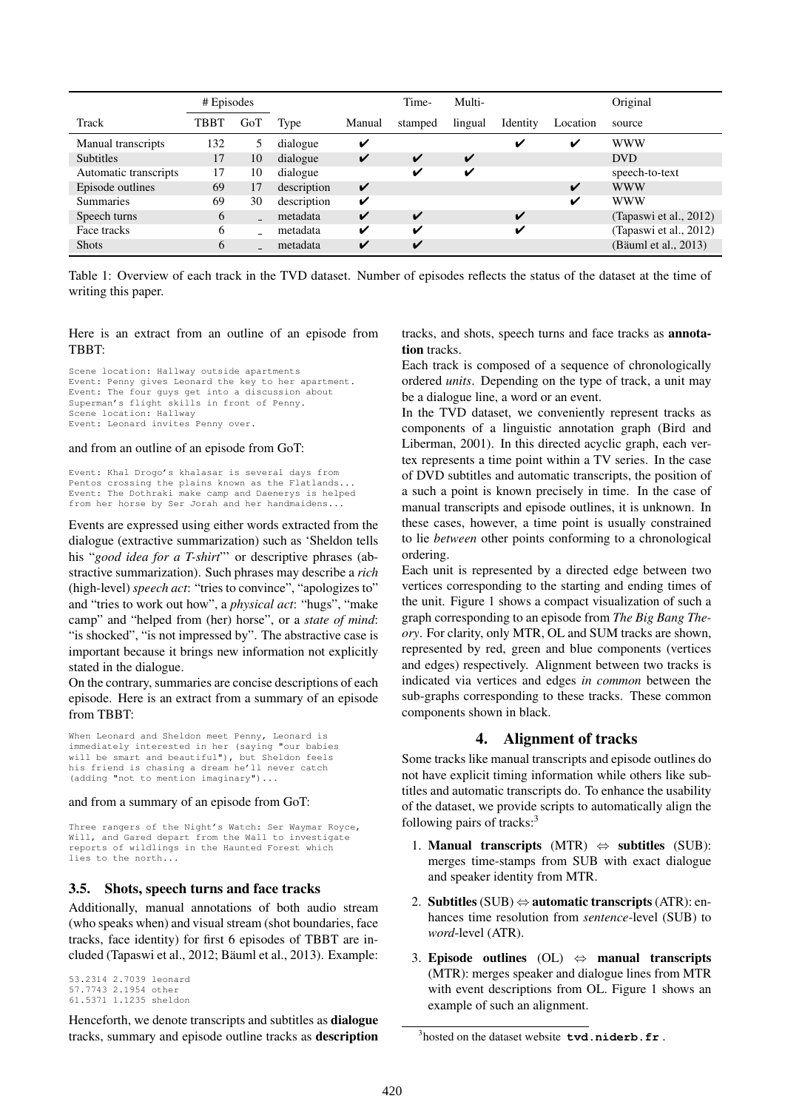|                       | # Episodes |     |             |        | Time-   | Multi-  |          |          | Original               |
|-----------------------|------------|-----|-------------|--------|---------|---------|----------|----------|------------------------|
| Track                 | TBBT       | GoT | Type        | Manual | stamped | lingual | Identity | Location | source                 |
| Manual transcripts    | 132        | 5   | dialogue    | ✔      |         |         | v        | ✔        | <b>WWW</b>             |
| <b>Subtitles</b>      | 17         | 10  | dialogue    | V      | V       | V       |          |          | <b>DVD</b>             |
| Automatic transcripts | 17         | 10  | dialogue    |        | V       | ✔       |          |          | speech-to-text         |
| Episode outlines      | 69         | 17  | description | V      |         |         |          | V        | <b>WWW</b>             |
| <b>Summaries</b>      | 69         | 30  | description | ✔      |         |         |          | ✓        | <b>WWW</b>             |
| Speech turns          | 6          |     | metadata    | V      | ✔       |         | ✔        |          | (Tapaswi et al., 2012) |
| Face tracks           | 6          |     | metadata    | V      | ✓       |         | v        |          | (Tapaswi et al., 2012) |
| <b>Shots</b>          | 6          |     | metadata    | V      | V       |         |          |          | (Bäuml et al., 2013)   |

Table 1: Overview of each track in the TVD dataset. Number of episodes reflects the status of the dataset at the time of writing this paper.

### Here is an extract from an outline of an episode from TBBT:

Scene location: Hallway outside apartments Event: Penny gives Leonard the key to her apartment. Event: The four guys get into a discussion about Superman's flight skills in front of Penny. Scene location: Hallway Event: Leonard invites Penny over.

#### and from an outline of an episode from GoT:

Event: Khal Drogo's khalasar is several days from Pentos crossing the plains known as the Flatlands... Event: The Dothraki make camp and Daenerys is helped from her horse by Ser Jorah and her handmaidens...

Events are expressed using either words extracted from the dialogue (extractive summarization) such as 'Sheldon tells his "*good idea for a T-shirt*" or descriptive phrases (abstractive summarization). Such phrases may describe a *rich* (high-level) *speech act*: "tries to convince", "apologizes to" and "tries to work out how", a *physical act*: "hugs", "make camp" and "helped from (her) horse", or a *state of mind*: "is shocked", "is not impressed by". The abstractive case is important because it brings new information not explicitly stated in the dialogue.

On the contrary, summaries are concise descriptions of each episode. Here is an extract from a summary of an episode from TBBT:

When Leonard and Sheldon meet Penny, Leonard is immediately interested in her (saying "our babies will be smart and beautiful"), but Sheldon feels his friend is chasing a dream he'll never catch (adding "not to mention imaginary")...

#### and from a summary of an episode from GoT:

Three rangers of the Night's Watch: Ser Waymar Royce, Will, and Gared depart from the Wall to investigate reports of wildlings in the Haunted Forest which lies to the north..

### 3.5. Shots, speech turns and face tracks

Additionally, manual annotations of both audio stream (who speaks when) and visual stream (shot boundaries, face tracks, face identity) for first 6 episodes of TBBT are included (Tapaswi et al., 2012; Bäuml et al., 2013). Example:

53.2314 2.7039 leonard 57.7743 2.1954 other 61.5371 1.1235 sheldon

Henceforth, we denote transcripts and subtitles as dialogue tracks, summary and episode outline tracks as description tracks, and shots, speech turns and face tracks as annotation tracks.

Each track is composed of a sequence of chronologically ordered *units*. Depending on the type of track, a unit may be a dialogue line, a word or an event.

In the TVD dataset, we conveniently represent tracks as components of a linguistic annotation graph (Bird and Liberman, 2001). In this directed acyclic graph, each vertex represents a time point within a TV series. In the case of DVD subtitles and automatic transcripts, the position of a such a point is known precisely in time. In the case of manual transcripts and episode outlines, it is unknown. In these cases, however, a time point is usually constrained to lie *between* other points conforming to a chronological ordering.

Each unit is represented by a directed edge between two vertices corresponding to the starting and ending times of the unit. Figure 1 shows a compact visualization of such a graph corresponding to an episode from *The Big Bang Theory*. For clarity, only MTR, OL and SUM tracks are shown, represented by red, green and blue components (vertices and edges) respectively. Alignment between two tracks is indicated via vertices and edges *in common* between the sub-graphs corresponding to these tracks. These common components shown in black.

### 4. Alignment of tracks

Some tracks like manual transcripts and episode outlines do not have explicit timing information while others like subtitles and automatic transcripts do. To enhance the usability of the dataset, we provide scripts to automatically align the following pairs of tracks:<sup>3</sup>

- 1. Manual transcripts (MTR)  $\Leftrightarrow$  subtitles (SUB): merges time-stamps from SUB with exact dialogue and speaker identity from MTR.
- 2. Subtitles (SUB)  $\Leftrightarrow$  automatic transcripts (ATR): enhances time resolution from *sentence*-level (SUB) to *word*-level (ATR).
- 3. Episode outlines (OL)  $\Leftrightarrow$  manual transcripts (MTR): merges speaker and dialogue lines from MTR with event descriptions from OL. Figure 1 shows an example of such an alignment.

<sup>3</sup> hosted on the dataset website **tvd.niderb.fr** .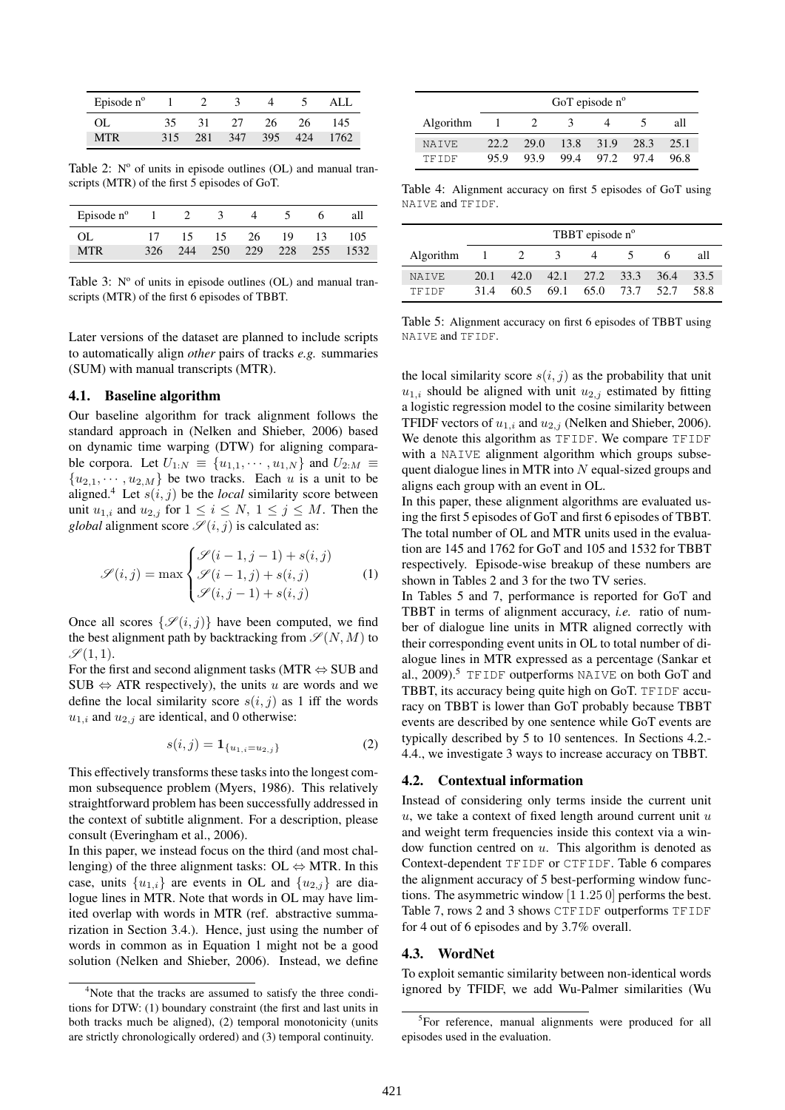| Episode $n^{\circ}$ |     |     |     |     |     |      |
|---------------------|-----|-----|-----|-----|-----|------|
| OL.                 | 35. | 31  | 27  | 26. | 26  | 145  |
| MTR                 | 315 | 281 | 347 | 395 | 424 | 1762 |

Table 2:  $N^{\circ}$  of units in episode outlines (OL) and manual transcripts (MTR) of the first 5 episodes of GoT.

| Episode $n^{\circ}$ |     |     |     |     |     |     |      |
|---------------------|-----|-----|-----|-----|-----|-----|------|
| OL                  |     | 15  | 15. | 26  | 19  | 13  | 105  |
| MTR                 | 326 | 244 | 250 | 229 | 228 | 255 | 1532 |

Table 3:  $N^{\circ}$  of units in episode outlines (OL) and manual transcripts (MTR) of the first 6 episodes of TBBT.

Later versions of the dataset are planned to include scripts to automatically align *other* pairs of tracks *e.g.* summaries (SUM) with manual transcripts (MTR).

## 4.1. Baseline algorithm

Our baseline algorithm for track alignment follows the standard approach in (Nelken and Shieber, 2006) based on dynamic time warping (DTW) for aligning comparable corpora. Let  $U_{1:N} \equiv \{u_{1,1}, \cdots, u_{1,N}\}\$ and  $U_{2:M} \equiv$  ${u_{2,1}, \dots, u_{2,M}}$  be two tracks. Each u is a unit to be aligned.<sup>4</sup> Let  $s(i, j)$  be the *local* similarity score between unit  $u_{1,i}$  and  $u_{2,j}$  for  $1 \leq i \leq N$ ,  $1 \leq j \leq M$ . Then the *global* alignment score  $\mathscr{S}(i, j)$  is calculated as:

$$
\mathcal{S}(i,j) = \max \begin{cases} \mathcal{S}(i-1,j-1) + s(i,j) \\ \mathcal{S}(i-1,j) + s(i,j) \\ \mathcal{S}(i,j-1) + s(i,j) \end{cases} (1)
$$

Once all scores  $\{\mathcal{S}(i, j)\}\$  have been computed, we find the best alignment path by backtracking from  $\mathcal{S}(N, M)$  to  $\mathscr{S}(1,1)$ .

For the first and second alignment tasks (MTR ⇔ SUB and SUB  $\Leftrightarrow$  ATR respectively), the units u are words and we define the local similarity score  $s(i, j)$  as 1 iff the words  $u_{1,i}$  and  $u_{2,j}$  are identical, and 0 otherwise:

$$
s(i,j) = \mathbf{1}_{\{u_{1,i} = u_{2,j}\}}\tag{2}
$$

This effectively transforms these tasks into the longest common subsequence problem (Myers, 1986). This relatively straightforward problem has been successfully addressed in the context of subtitle alignment. For a description, please consult (Everingham et al., 2006).

In this paper, we instead focus on the third (and most challenging) of the three alignment tasks: OL  $\Leftrightarrow$  MTR. In this case, units  $\{u_{1,i}\}\$ are events in OL and  $\{u_{2,j}\}\$ are dialogue lines in MTR. Note that words in OL may have limited overlap with words in MTR (ref. abstractive summarization in Section 3.4.). Hence, just using the number of words in common as in Equation 1 might not be a good solution (Nelken and Shieber, 2006). Instead, we define

|           | GoT episode $n^{\circ}$ |      |      |      |      |      |  |  |  |
|-----------|-------------------------|------|------|------|------|------|--|--|--|
| Algorithm |                         |      |      |      |      | all  |  |  |  |
| NATVE.    | 22.2.                   | 29.0 | 13.8 | 31.9 | 28.3 | 25.1 |  |  |  |
| TFIDF     | 95.9                    | 93.9 | 99.4 | 97.2 | 974  | 96.8 |  |  |  |

Table 4: Alignment accuracy on first 5 episodes of GoT using NAIVE and TFIDF.

|              | TBBT episode n <sup>o</sup> |                |      |      |      |        |      |  |  |
|--------------|-----------------------------|----------------|------|------|------|--------|------|--|--|
| Algorithm    |                             | $\overline{2}$ | 3    |      |      |        | all  |  |  |
| <b>NATVE</b> | 20.1                        | 42.0           | 42.1 | 27.2 | 33.3 | 36.4   | 33.5 |  |  |
| TFIDF        | 31.4                        | 60.5           | 69.1 | 65.0 | 73.7 | - 52.7 | 58.8 |  |  |

Table 5: Alignment accuracy on first 6 episodes of TBBT using NAIVE and TFIDF.

the local similarity score  $s(i, j)$  as the probability that unit  $u_{1,i}$  should be aligned with unit  $u_{2,j}$  estimated by fitting a logistic regression model to the cosine similarity between TFIDF vectors of  $u_{1,i}$  and  $u_{2,j}$  (Nelken and Shieber, 2006). We denote this algorithm as TFIDF. We compare TFIDF with a NAIVE alignment algorithm which groups subsequent dialogue lines in MTR into N equal-sized groups and aligns each group with an event in OL.

In this paper, these alignment algorithms are evaluated using the first 5 episodes of GoT and first 6 episodes of TBBT. The total number of OL and MTR units used in the evaluation are 145 and 1762 for GoT and 105 and 1532 for TBBT respectively. Episode-wise breakup of these numbers are shown in Tables 2 and 3 for the two TV series.

In Tables 5 and 7, performance is reported for GoT and TBBT in terms of alignment accuracy, *i.e.* ratio of number of dialogue line units in MTR aligned correctly with their corresponding event units in OL to total number of dialogue lines in MTR expressed as a percentage (Sankar et al., 2009).<sup>5</sup> TFIDF outperforms NAIVE on both GoT and TBBT, its accuracy being quite high on GoT. TFIDF accuracy on TBBT is lower than GoT probably because TBBT events are described by one sentence while GoT events are typically described by 5 to 10 sentences. In Sections 4.2.- 4.4., we investigate 3 ways to increase accuracy on TBBT.

## 4.2. Contextual information

Instead of considering only terms inside the current unit u, we take a context of fixed length around current unit  $u$ and weight term frequencies inside this context via a window function centred on  $u$ . This algorithm is denoted as Context-dependent TFIDF or CTFIDF. Table 6 compares the alignment accuracy of 5 best-performing window functions. The asymmetric window [1 1.25 0] performs the best. Table 7, rows 2 and 3 shows CTFIDF outperforms TFIDF for 4 out of 6 episodes and by 3.7% overall.

### 4.3. WordNet

To exploit semantic similarity between non-identical words ignored by TFIDF, we add Wu-Palmer similarities (Wu

<sup>&</sup>lt;sup>4</sup>Note that the tracks are assumed to satisfy the three conditions for DTW: (1) boundary constraint (the first and last units in both tracks much be aligned), (2) temporal monotonicity (units are strictly chronologically ordered) and (3) temporal continuity.

<sup>&</sup>lt;sup>5</sup>For reference, manual alignments were produced for all episodes used in the evaluation.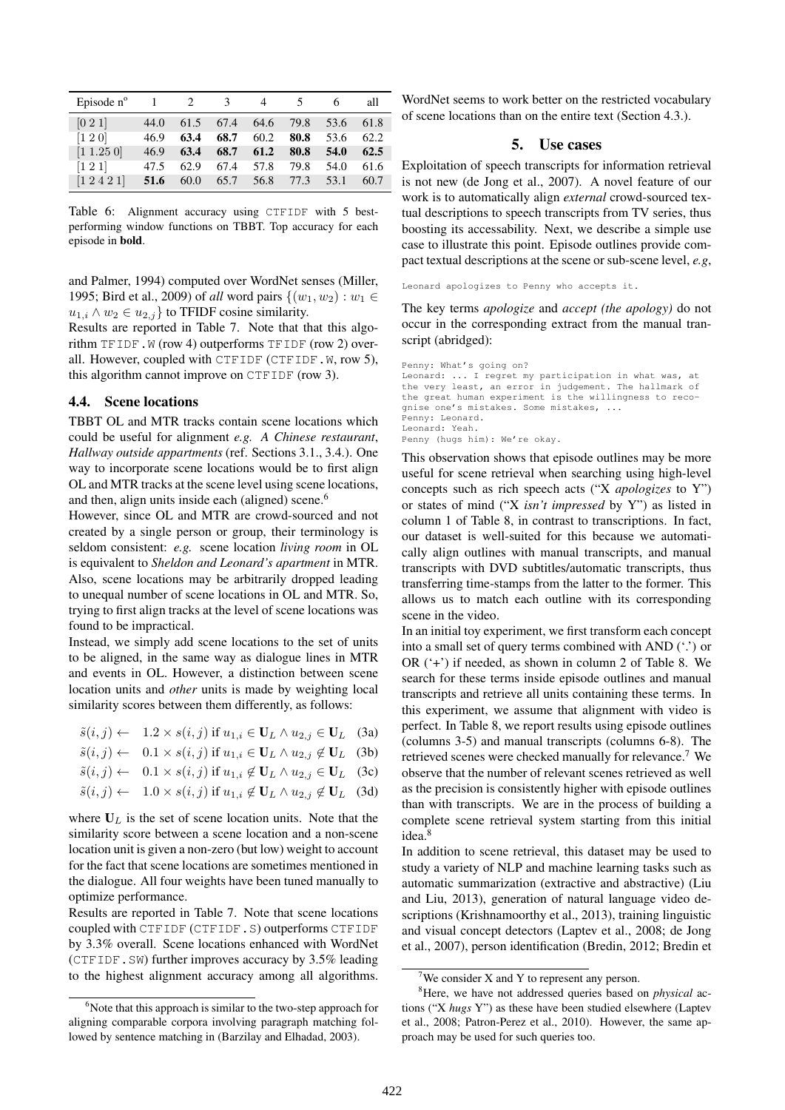| Episode $n^{\circ}$    | $\blacksquare$ | 2    | $\mathcal{E}$ |      |      |      | all  |
|------------------------|----------------|------|---------------|------|------|------|------|
| [0 2 1]                | 44.0           | 61.5 | 67.4          | 64.6 | 79.8 | 53.6 | 61.8 |
| $[1\ 2\ 0]$            | 46.9           | 63.4 | 68.7          | 60.2 | 80.8 | 53.6 | 62.2 |
| [1 1.25 0]             | 46.9           | 63.4 | 68.7          | 61.2 | 80.8 | 54.0 | 62.5 |
| $\left[1\,2\,1\right]$ | 47.5           | 62.9 | 67.4          | 57.8 | 79.8 | 54.0 | 61.6 |
| $[1\,2\,4\,2\,1]$      | 51.6           | 60.0 | 65.7          | 56.8 | 77.3 | 53.1 | 60.7 |

Table 6: Alignment accuracy using CTFIDF with 5 bestperforming window functions on TBBT. Top accuracy for each episode in bold.

and Palmer, 1994) computed over WordNet senses (Miller, 1995; Bird et al., 2009) of *all* word pairs  $\{(w_1, w_2) : w_1 \in$  $u_{1,i} \wedge w_2 \in u_{2,j}$  to TFIDF cosine similarity.

Results are reported in Table 7. Note that that this algorithm TFIDF.W (row 4) outperforms TFIDF (row 2) overall. However, coupled with CTFIDF (CTFIDF.W, row 5), this algorithm cannot improve on CTFIDF (row 3).

### 4.4. Scene locations

TBBT OL and MTR tracks contain scene locations which could be useful for alignment *e.g. A Chinese restaurant*, *Hallway outside appartments* (ref. Sections 3.1., 3.4.). One way to incorporate scene locations would be to first align OL and MTR tracks at the scene level using scene locations, and then, align units inside each (aligned) scene.<sup>6</sup>

However, since OL and MTR are crowd-sourced and not created by a single person or group, their terminology is seldom consistent: *e.g.* scene location *living room* in OL is equivalent to *Sheldon and Leonard's apartment* in MTR. Also, scene locations may be arbitrarily dropped leading to unequal number of scene locations in OL and MTR. So, trying to first align tracks at the level of scene locations was found to be impractical.

Instead, we simply add scene locations to the set of units to be aligned, in the same way as dialogue lines in MTR and events in OL. However, a distinction between scene location units and *other* units is made by weighting local similarity scores between them differently, as follows:

| $\tilde{s}(i, j) \leftarrow 1.2 \times s(i, j)$ if $u_{1,i} \in \mathbf{U}_L \wedge u_{2,j} \in \mathbf{U}_L$ (3a)    |  |
|-----------------------------------------------------------------------------------------------------------------------|--|
| $\tilde{s}(i, j) \leftarrow 0.1 \times s(i, j)$ if $u_{1,i} \in \mathbf{U}_L \wedge u_{2,j} \notin \mathbf{U}_L$ (3b) |  |
| $\tilde{s}(i,j) \leftarrow 0.1 \times s(i,j)$ if $u_{1,i} \notin U_L \wedge u_{2,j} \in U_L$ (3c)                     |  |
| $\tilde{s}(i,j) \leftarrow 1.0 \times s(i,j)$ if $u_{1,i} \notin U_L \wedge u_{2,j} \notin U_L$ (3d)                  |  |

where  $U_L$  is the set of scene location units. Note that the similarity score between a scene location and a non-scene location unit is given a non-zero (but low) weight to account for the fact that scene locations are sometimes mentioned in the dialogue. All four weights have been tuned manually to optimize performance.

Results are reported in Table 7. Note that scene locations coupled with CTFIDF (CTFIDF.S) outperforms CTFIDF by 3.3% overall. Scene locations enhanced with WordNet (CTFIDF.SW) further improves accuracy by 3.5% leading to the highest alignment accuracy among all algorithms.

WordNet seems to work better on the restricted vocabulary of scene locations than on the entire text (Section 4.3.).

### 5. Use cases

Exploitation of speech transcripts for information retrieval is not new (de Jong et al., 2007). A novel feature of our work is to automatically align *external* crowd-sourced textual descriptions to speech transcripts from TV series, thus boosting its accessability. Next, we describe a simple use case to illustrate this point. Episode outlines provide compact textual descriptions at the scene or sub-scene level, *e.g*,

Leonard apologizes to Penny who accepts it.

The key terms *apologize* and *accept (the apology)* do not occur in the corresponding extract from the manual transcript (abridged):

```
Penny: What's going on?
Leonard: ... I regret my participation in what was, at
the very least, an error in judgement. The hallmark of
the great human experiment is the willingness to reco-
gnise one's mistakes. Some mistakes, ...
Penny: Leonard.
Leonard: Yeah.
Penny (hugs him): We're okay.
```
This observation shows that episode outlines may be more useful for scene retrieval when searching using high-level concepts such as rich speech acts ("X *apologizes* to Y") or states of mind ("X *isn't impressed* by Y") as listed in column 1 of Table 8, in contrast to transcriptions. In fact, our dataset is well-suited for this because we automatically align outlines with manual transcripts, and manual transcripts with DVD subtitles/automatic transcripts, thus transferring time-stamps from the latter to the former. This allows us to match each outline with its corresponding scene in the video.

In an initial toy experiment, we first transform each concept into a small set of query terms combined with AND ('.') or OR ('+') if needed, as shown in column 2 of Table 8. We search for these terms inside episode outlines and manual transcripts and retrieve all units containing these terms. In this experiment, we assume that alignment with video is perfect. In Table 8, we report results using episode outlines (columns 3-5) and manual transcripts (columns 6-8). The retrieved scenes were checked manually for relevance.<sup>7</sup> We observe that the number of relevant scenes retrieved as well as the precision is consistently higher with episode outlines than with transcripts. We are in the process of building a complete scene retrieval system starting from this initial idea.<sup>8</sup>

In addition to scene retrieval, this dataset may be used to study a variety of NLP and machine learning tasks such as automatic summarization (extractive and abstractive) (Liu and Liu, 2013), generation of natural language video descriptions (Krishnamoorthy et al., 2013), training linguistic and visual concept detectors (Laptev et al., 2008; de Jong et al., 2007), person identification (Bredin, 2012; Bredin et

 $6$ Note that this approach is similar to the two-step approach for aligning comparable corpora involving paragraph matching followed by sentence matching in (Barzilay and Elhadad, 2003).

<sup>&</sup>lt;sup>7</sup>We consider X and Y to represent any person.

<sup>8</sup>Here, we have not addressed queries based on *physical* actions ("X *hugs* Y") as these have been studied elsewhere (Laptev et al., 2008; Patron-Perez et al., 2010). However, the same approach may be used for such queries too.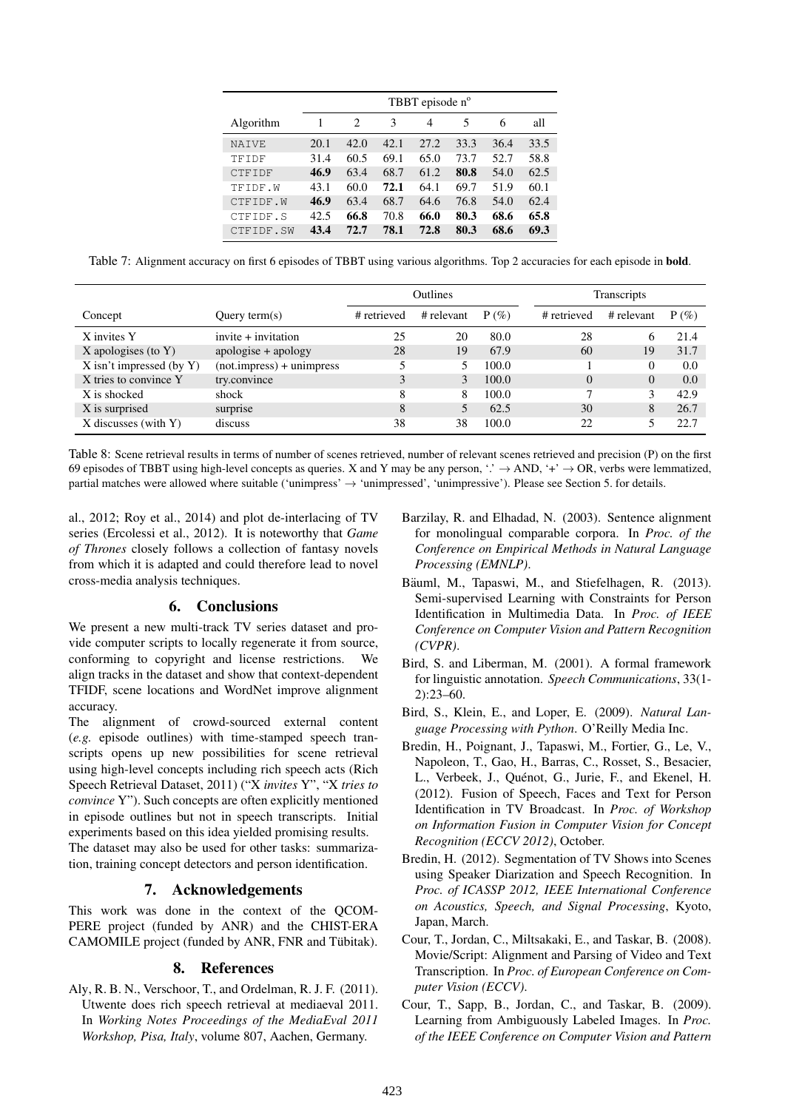|               |      | TBBT episode n° |      |      |      |      |      |  |  |
|---------------|------|-----------------|------|------|------|------|------|--|--|
| Algorithm     |      | 2               | 3    | 4    | 5    | 6    | all  |  |  |
| <b>NATVE</b>  | 20.1 | 42.0            | 42.1 | 27.2 | 33.3 | 36.4 | 33.5 |  |  |
| TFIDF         | 31.4 | 60.5            | 69.1 | 65.0 | 73.7 | 52.7 | 58.8 |  |  |
| <b>CTFIDF</b> | 46.9 | 63.4            | 68.7 | 61.2 | 80.8 | 54.0 | 62.5 |  |  |
| TFIDF.W       | 43.1 | 60.0            | 72.1 | 64.1 | 69.7 | 51.9 | 60.1 |  |  |
| CTFIDF.W      | 46.9 | 63.4            | 68.7 | 64.6 | 76.8 | 54.0 | 62.4 |  |  |
| CTFIDF.S      | 42.5 | 66.8            | 70.8 | 66.0 | 80.3 | 68.6 | 65.8 |  |  |
| CTFIDF.SW     | 43.4 | 72.7            | 78.1 | 72.8 | 80.3 | 68.6 | 69.3 |  |  |

Table 7: Alignment accuracy on first 6 episodes of TBBT using various algorithms. Top 2 accuracies for each episode in bold.

|                               |                                 | Outlines    |            |         |             | <b>Transcripts</b> |         |  |  |
|-------------------------------|---------------------------------|-------------|------------|---------|-------------|--------------------|---------|--|--|
| Concept                       | Query term $(s)$                | # retrieved | # relevant | $P(\%)$ | # retrieved | # relevant         | $P(\%)$ |  |  |
| X invites Y                   | $invite + invitation$           | 25          | 20         | 80.0    | 28          | O                  | 21.4    |  |  |
| X apologises (to $Y$ )        | apologise + apology             | 28          | 19         | 67.9    | 60          | 19                 | 31.7    |  |  |
| $X$ isn't impressed (by $Y$ ) | $(not.$ impress $) +$ unimpress |             |            | 100.0   |             | 0                  | 0.0     |  |  |
| X tries to convince Y         | try.convince                    | 3           |            | 100.0   | $\Omega$    | $\Omega$           | 0.0     |  |  |
| X is shocked                  | shock                           | 8           | 8          | 100.0   |             | 3                  | 42.9    |  |  |
| X is surprised                | surprise                        | 8           |            | 62.5    | 30          | 8                  | 26.7    |  |  |
| X discusses (with Y)          | discuss                         | 38          | 38         | 100.0   | 22          |                    | 22.7    |  |  |

Table 8: Scene retrieval results in terms of number of scenes retrieved, number of relevant scenes retrieved and precision (P) on the first 69 episodes of TBBT using high-level concepts as queries. X and Y may be any person, '.'  $\rightarrow$  AND, '+'  $\rightarrow$  OR, verbs were lemmatized, partial matches were allowed where suitable ('unimpress' → 'unimpressed', 'unimpressive'). Please see Section 5. for details.

al., 2012; Roy et al., 2014) and plot de-interlacing of TV series (Ercolessi et al., 2012). It is noteworthy that *Game of Thrones* closely follows a collection of fantasy novels from which it is adapted and could therefore lead to novel cross-media analysis techniques.

## 6. Conclusions

We present a new multi-track TV series dataset and provide computer scripts to locally regenerate it from source, conforming to copyright and license restrictions. We align tracks in the dataset and show that context-dependent TFIDF, scene locations and WordNet improve alignment accuracy.

The alignment of crowd-sourced external content (*e.g.* episode outlines) with time-stamped speech transcripts opens up new possibilities for scene retrieval using high-level concepts including rich speech acts (Rich Speech Retrieval Dataset, 2011) ("X *invites* Y", "X *tries to convince* Y"). Such concepts are often explicitly mentioned in episode outlines but not in speech transcripts. Initial experiments based on this idea yielded promising results. The dataset may also be used for other tasks: summarization, training concept detectors and person identification.

# 7. Acknowledgements

This work was done in the context of the QCOM-PERE project (funded by ANR) and the CHIST-ERA CAMOMILE project (funded by ANR, FNR and Tübitak).

# 8. References

Aly, R. B. N., Verschoor, T., and Ordelman, R. J. F. (2011). Utwente does rich speech retrieval at mediaeval 2011. In *Working Notes Proceedings of the MediaEval 2011 Workshop, Pisa, Italy*, volume 807, Aachen, Germany.

- Barzilay, R. and Elhadad, N. (2003). Sentence alignment for monolingual comparable corpora. In *Proc. of the Conference on Empirical Methods in Natural Language Processing (EMNLP)*.
- Bäuml, M., Tapaswi, M., and Stiefelhagen, R. (2013). Semi-supervised Learning with Constraints for Person Identification in Multimedia Data. In *Proc. of IEEE Conference on Computer Vision and Pattern Recognition (CVPR)*.
- Bird, S. and Liberman, M. (2001). A formal framework for linguistic annotation. *Speech Communications*, 33(1- 2):23–60.
- Bird, S., Klein, E., and Loper, E. (2009). *Natural Language Processing with Python*. O'Reilly Media Inc.
- Bredin, H., Poignant, J., Tapaswi, M., Fortier, G., Le, V., Napoleon, T., Gao, H., Barras, C., Rosset, S., Besacier, L., Verbeek, J., Quénot, G., Jurie, F., and Ekenel, H. (2012). Fusion of Speech, Faces and Text for Person Identification in TV Broadcast. In *Proc. of Workshop on Information Fusion in Computer Vision for Concept Recognition (ECCV 2012)*, October.
- Bredin, H. (2012). Segmentation of TV Shows into Scenes using Speaker Diarization and Speech Recognition. In *Proc. of ICASSP 2012, IEEE International Conference on Acoustics, Speech, and Signal Processing*, Kyoto, Japan, March.
- Cour, T., Jordan, C., Miltsakaki, E., and Taskar, B. (2008). Movie/Script: Alignment and Parsing of Video and Text Transcription. In *Proc. of European Conference on Computer Vision (ECCV)*.
- Cour, T., Sapp, B., Jordan, C., and Taskar, B. (2009). Learning from Ambiguously Labeled Images. In *Proc. of the IEEE Conference on Computer Vision and Pattern*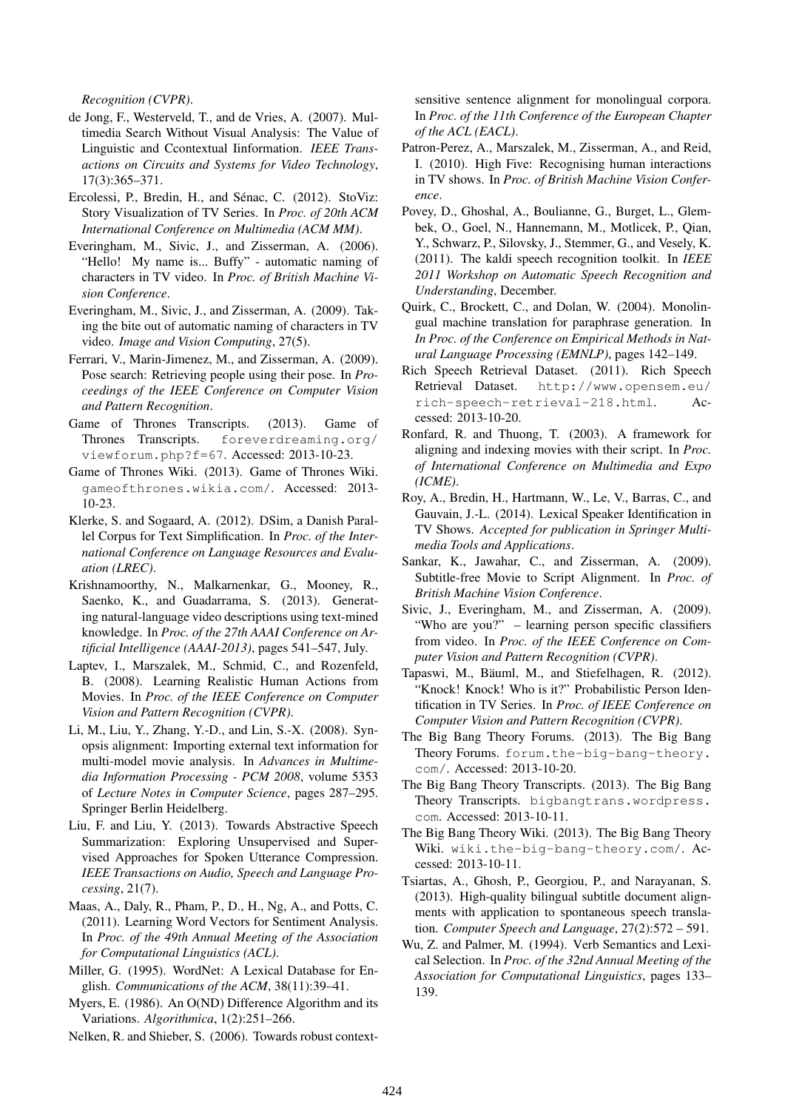*Recognition (CVPR)*.

- de Jong, F., Westerveld, T., and de Vries, A. (2007). Multimedia Search Without Visual Analysis: The Value of Linguistic and Ccontextual Iinformation. *IEEE Transactions on Circuits and Systems for Video Technology*, 17(3):365–371.
- Ercolessi, P., Bredin, H., and Sénac, C. (2012). StoViz: Story Visualization of TV Series. In *Proc. of 20th ACM International Conference on Multimedia (ACM MM)*.
- Everingham, M., Sivic, J., and Zisserman, A. (2006). "Hello! My name is... Buffy" - automatic naming of characters in TV video. In *Proc. of British Machine Vision Conference*.
- Everingham, M., Sivic, J., and Zisserman, A. (2009). Taking the bite out of automatic naming of characters in TV video. *Image and Vision Computing*, 27(5).
- Ferrari, V., Marin-Jimenez, M., and Zisserman, A. (2009). Pose search: Retrieving people using their pose. In *Proceedings of the IEEE Conference on Computer Vision and Pattern Recognition*.
- Game of Thrones Transcripts. (2013). Game of Thrones Transcripts. foreverdreaming.org/ viewforum.php?f=67. Accessed: 2013-10-23.
- Game of Thrones Wiki. (2013). Game of Thrones Wiki. gameofthrones.wikia.com/. Accessed: 2013- 10-23.
- Klerke, S. and Sogaard, A. (2012). DSim, a Danish Parallel Corpus for Text Simplification. In *Proc. of the International Conference on Language Resources and Evaluation (LREC)*.
- Krishnamoorthy, N., Malkarnenkar, G., Mooney, R., Saenko, K., and Guadarrama, S. (2013). Generating natural-language video descriptions using text-mined knowledge. In *Proc. of the 27th AAAI Conference on Artificial Intelligence (AAAI-2013)*, pages 541–547, July.
- Laptev, I., Marszalek, M., Schmid, C., and Rozenfeld, B. (2008). Learning Realistic Human Actions from Movies. In *Proc. of the IEEE Conference on Computer Vision and Pattern Recognition (CVPR)*.
- Li, M., Liu, Y., Zhang, Y.-D., and Lin, S.-X. (2008). Synopsis alignment: Importing external text information for multi-model movie analysis. In *Advances in Multimedia Information Processing - PCM 2008*, volume 5353 of *Lecture Notes in Computer Science*, pages 287–295. Springer Berlin Heidelberg.
- Liu, F. and Liu, Y. (2013). Towards Abstractive Speech Summarization: Exploring Unsupervised and Supervised Approaches for Spoken Utterance Compression. *IEEE Transactions on Audio, Speech and Language Processing*, 21(7).
- Maas, A., Daly, R., Pham, P., D., H., Ng, A., and Potts, C. (2011). Learning Word Vectors for Sentiment Analysis. In *Proc. of the 49th Annual Meeting of the Association for Computational Linguistics (ACL)*.
- Miller, G. (1995). WordNet: A Lexical Database for English. *Communications of the ACM*, 38(11):39–41.
- Myers, E. (1986). An O(ND) Difference Algorithm and its Variations. *Algorithmica*, 1(2):251–266.

Nelken, R. and Shieber, S. (2006). Towards robust context-

sensitive sentence alignment for monolingual corpora. In *Proc. of the 11th Conference of the European Chapter of the ACL (EACL)*.

- Patron-Perez, A., Marszalek, M., Zisserman, A., and Reid, I. (2010). High Five: Recognising human interactions in TV shows. In *Proc. of British Machine Vision Conference*.
- Povey, D., Ghoshal, A., Boulianne, G., Burget, L., Glembek, O., Goel, N., Hannemann, M., Motlicek, P., Qian, Y., Schwarz, P., Silovsky, J., Stemmer, G., and Vesely, K. (2011). The kaldi speech recognition toolkit. In *IEEE 2011 Workshop on Automatic Speech Recognition and Understanding*, December.
- Quirk, C., Brockett, C., and Dolan, W. (2004). Monolingual machine translation for paraphrase generation. In *In Proc. of the Conference on Empirical Methods in Natural Language Processing (EMNLP)*, pages 142–149.
- Rich Speech Retrieval Dataset. (2011). Rich Speech Retrieval Dataset. http://www.opensem.eu/ rich-speech-retrieval-218.html. Accessed: 2013-10-20.
- Ronfard, R. and Thuong, T. (2003). A framework for aligning and indexing movies with their script. In *Proc. of International Conference on Multimedia and Expo (ICME)*.
- Roy, A., Bredin, H., Hartmann, W., Le, V., Barras, C., and Gauvain, J.-L. (2014). Lexical Speaker Identification in TV Shows. *Accepted for publication in Springer Multimedia Tools and Applications*.
- Sankar, K., Jawahar, C., and Zisserman, A. (2009). Subtitle-free Movie to Script Alignment. In *Proc. of British Machine Vision Conference*.
- Sivic, J., Everingham, M., and Zisserman, A. (2009). "Who are you?" – learning person specific classifiers from video. In *Proc. of the IEEE Conference on Computer Vision and Pattern Recognition (CVPR)*.
- Tapaswi, M., Bäuml, M., and Stiefelhagen, R. (2012). "Knock! Knock! Who is it?" Probabilistic Person Identification in TV Series. In *Proc. of IEEE Conference on Computer Vision and Pattern Recognition (CVPR)*.
- The Big Bang Theory Forums. (2013). The Big Bang Theory Forums. forum.the-big-bang-theory. com/. Accessed: 2013-10-20.
- The Big Bang Theory Transcripts. (2013). The Big Bang Theory Transcripts. bigbangtrans.wordpress. com. Accessed: 2013-10-11.
- The Big Bang Theory Wiki. (2013). The Big Bang Theory Wiki. wiki.the-big-bang-theory.com/. Accessed: 2013-10-11.
- Tsiartas, A., Ghosh, P., Georgiou, P., and Narayanan, S. (2013). High-quality bilingual subtitle document alignments with application to spontaneous speech translation. *Computer Speech and Language*, 27(2):572 – 591.
- Wu, Z. and Palmer, M. (1994). Verb Semantics and Lexical Selection. In *Proc. of the 32nd Annual Meeting of the Association for Computational Linguistics*, pages 133– 139.